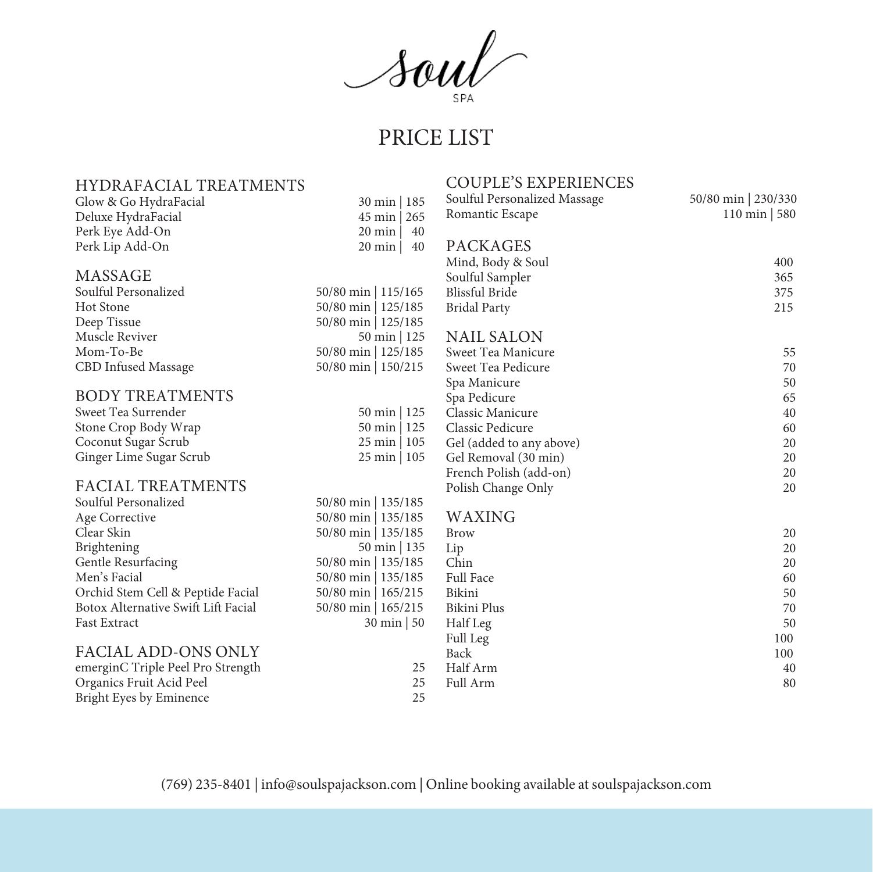Soul of

| <b>HYDRAFACIAL TREATMENTS</b>       |                        | <b>COUPLE'S EXPERIENCES</b>  |                       |
|-------------------------------------|------------------------|------------------------------|-----------------------|
| Glow & Go HydraFacial               | 30 min   185           | Soulful Personalized Massage | 50/80 min 230/330     |
| Deluxe HydraFacial                  | $45 \text{ min}$   265 | Romantic Escape              | $110 \text{ min}$ 580 |
| Perk Eye Add-On                     | 40<br>20 min           |                              |                       |
| Perk Lip Add-On                     | $20$ min<br>40         | <b>PACKAGES</b>              |                       |
|                                     |                        | Mind, Body & Soul            | 400                   |
| MASSAGE                             |                        | Soulful Sampler              | 365                   |
| Soulful Personalized                | 50/80 min   115/165    | <b>Blissful Bride</b>        | 375                   |
| Hot Stone                           | 50/80 min   125/185    | <b>Bridal Party</b>          | 215                   |
| Deep Tissue                         | 50/80 min   125/185    |                              |                       |
| Muscle Reviver                      | $50 \text{ min}$ 125   | <b>NAIL SALON</b>            |                       |
| Mom-To-Be                           | 50/80 min   125/185    | Sweet Tea Manicure           | 55                    |
| CBD Infused Massage                 | 50/80 min   150/215    | Sweet Tea Pedicure           | 70                    |
|                                     |                        | Spa Manicure                 | 50                    |
| <b>BODY TREATMENTS</b>              |                        | Spa Pedicure                 | 65                    |
| Sweet Tea Surrender                 | $50 \text{ min}$   125 | Classic Manicure             | 40                    |
| Stone Crop Body Wrap                | $50 \text{ min}$   125 | Classic Pedicure             | 60                    |
| Coconut Sugar Scrub                 | $25 \text{ min}$   105 | Gel (added to any above)     | 20                    |
| Ginger Lime Sugar Scrub             | $25 \text{ min}$   105 | Gel Removal (30 min)         | 20                    |
|                                     |                        | French Polish (add-on)       | 20                    |
| <b>FACIAL TREATMENTS</b>            |                        | Polish Change Only           | 20                    |
| Soulful Personalized                | 50/80 min   135/185    |                              |                       |
| Age Corrective                      | 50/80 min   135/185    | WAXING                       |                       |
| Clear Skin                          | 50/80 min   135/185    | <b>Brow</b>                  | 20                    |
| Brightening                         | 50 min   135           | Lip                          | 20                    |
| Gentle Resurfacing                  | 50/80 min   135/185    | Chin                         | 20                    |
| Men's Facial                        | 50/80 min   135/185    | Full Face                    | 60                    |
| Orchid Stem Cell & Peptide Facial   | 50/80 min   165/215    | Bikini                       | 50                    |
| Botox Alternative Swift Lift Facial | 50/80 min   165/215    | Bikini Plus                  | 70                    |
| <b>Fast Extract</b>                 | $30 \text{ min}$ 50    | Half Leg                     | 50                    |
|                                     |                        | Full Leg                     | 100                   |
| <b>FACIAL ADD-ONS ONLY</b>          |                        | Back                         | 100                   |
| emerginC Triple Peel Pro Strength   | 25                     | Half Arm                     | 40                    |
| Organics Fruit Acid Peel            | 25                     | Full Arm                     | 80                    |
| Bright Eyes by Eminence             | 25                     |                              |                       |

(769) 235-8401 | info@soulspajackson.com | Online booking available at soulspajackson.com